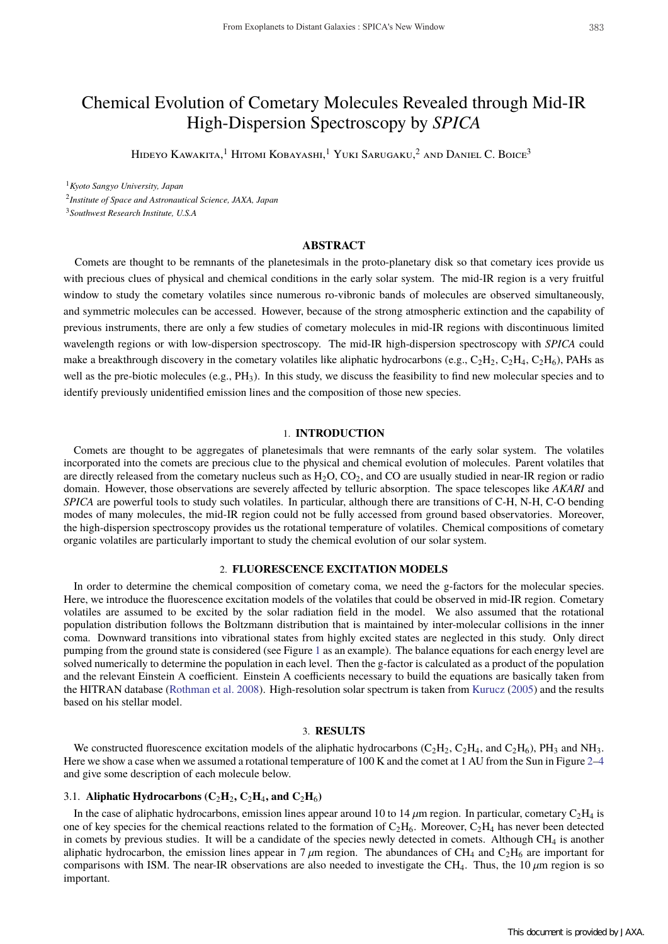# Chemical Evolution of Cometary Molecules Revealed through Mid-IR High-Dispersion Spectroscopy by *SPICA*

HIDEYO KAWAKITA,<sup>1</sup> HITOMI KOBAYASHI,<sup>1</sup> YUKI SARUGAKU,<sup>2</sup> AND DANIEL C. BOICE<sup>3</sup>

<sup>1</sup>*Kyoto Sangyo University, Japan*

<sup>2</sup>*Institute of Space and Astronautical Science, JAXA, Japan*

<sup>3</sup>*Southwest Research Institute, U.S.A*

## **ABSTRACT**

Comets are thought to be remnants of the planetesimals in the proto-planetary disk so that cometary ices provide us with precious clues of physical and chemical conditions in the early solar system. The mid-IR region is a very fruitful window to study the cometary volatiles since numerous ro-vibronic bands of molecules are observed simultaneously, and symmetric molecules can be accessed. However, because of the strong atmospheric extinction and the capability of previous instruments, there are only a few studies of cometary molecules in mid-IR regions with discontinuous limited wavelength regions or with low-dispersion spectroscopy. The mid-IR high-dispersion spectroscopy with *SPICA* could make a breakthrough discovery in the cometary volatiles like aliphatic hydrocarbons (e.g.,  $C_2H_2$ ,  $C_2H_4$ ,  $C_2H_6$ ), PAHs as well as the pre-biotic molecules (e.g., PH<sub>3</sub>). In this study, we discuss the feasibility to find new molecular species and to identify previously unidentified emission lines and the composition of those new species.

### 1. **INTRODUCTION**

Comets are thought to be aggregates of planetesimals that were remnants of the early solar system. The volatiles incorporated into the comets are precious clue to the physical and chemical evolution of molecules. Parent volatiles that are directly released from the cometary nucleus such as  $H_2O$ ,  $CO_2$ , and  $CO$  are usually studied in near-IR region or radio domain. However, those observations are severely affected by telluric absorption. The space telescopes like *AKARI* and *SPICA* are powerful tools to study such volatiles. In particular, although there are transitions of C-H, N-H, C-O bending modes of many molecules, the mid-IR region could not be fully accessed from ground based observatories. Moreover, the high-dispersion spectroscopy provides us the rotational temperature of volatiles. Chemical compositions of cometary organic volatiles are particularly important to study the chemical evolution of our solar system.

## 2. **FLUORESCENCE EXCITATION MODELS**

In order to determine the chemical composition of cometary coma, we need the g-factors for the molecular species. Here, we introduce the fluorescence excitation models of the volatiles that could be observed in mid-IR region. Cometary volatiles are assumed to be excited by the solar radiation field in the model. We also assumed that the rotational population distribution follows the Boltzmann distribution that is maintained by inter-molecular collisions in the inner coma. Downward transitions into vibrational states from highly excited states are neglected in this study. Only direct pumping from the ground state is considered (see Figure 1 as an example). The balance equations for each energy level are solved numerically to determine the population in each level. Then the g-factor is calculated as a product of the population and the relevant Einstein A coefficient. Einstein A coefficients necessary to build the equations are basically taken from the HITRAN database (Rothman et al. 2008). High-resolution solar spectrum is taken from Kurucz (2005) and the results based on his stellar model.

# 3. **RESULTS**

We constructed fluorescence excitation models of the aliphatic hydrocarbons ( $C_2H_2$ ,  $C_2H_4$ , and  $C_2H_6$ ),  $PH_3$  and NH<sub>3</sub>. Here we show a case when we assumed a rotational temperature of 100 K and the comet at 1 AU from the Sun in Figure 2–4 and give some description of each molecule below.

## 3.1. **Aliphatic Hydrocarbons (** $C_2H_2$ **,**  $C_2H_4$ **, and**  $C_2H_6$ **)**

In the case of aliphatic hydrocarbons, emission lines appear around 10 to 14  $\mu$ m region. In particular, cometary C<sub>2</sub>H<sub>4</sub> is one of key species for the chemical reactions related to the formation of  $C_2H_6$ . Moreover,  $C_2H_4$  has never been detected in comets by previous studies. It will be a candidate of the species newly detected in comets. Although  $CH_4$  is another aliphatic hydrocarbon, the emission lines appear in 7  $\mu$ m region. The abundances of CH<sub>4</sub> and C<sub>2</sub>H<sub>6</sub> are important for comparisons with ISM. The near-IR observations are also needed to investigate the CH<sub>4</sub>. Thus, the 10  $\mu$ m region is so important.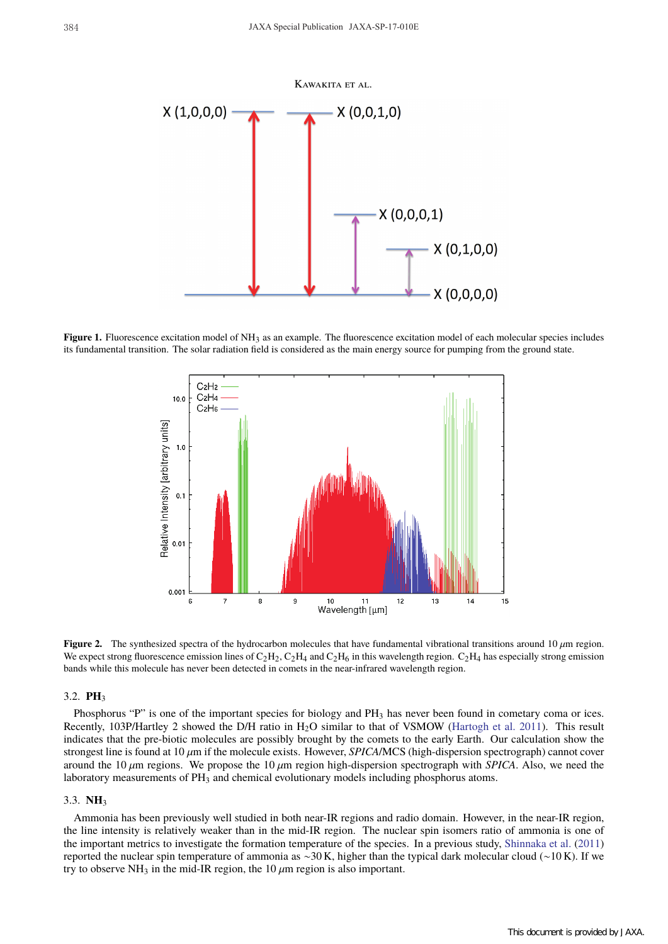

**Figure 1.** Fluorescence excitation model of NH<sub>3</sub> as an example. The fluorescence excitation model of each molecular species includes its fundamental transition. The solar radiation field is considered as the main energy source for pumping from the ground state.



**Figure 2.** The synthesized spectra of the hydrocarbon molecules that have fundamental vibrational transitions around 10  $\mu$ m region. We expect strong fluorescence emission lines of  $C_2H_2$ ,  $C_2H_4$  and  $C_2H_6$  in this wavelength region.  $C_2H_4$  has especially strong emission bands while this molecule has never been detected in comets in the near-infrared wavelength region.

# 3.2. **PH**<sup>3</sup>

Phosphorus "P" is one of the important species for biology and PH<sub>3</sub> has never been found in cometary coma or ices. Recently, 103P/Hartley 2 showed the D/H ratio in H<sub>2</sub>O similar to that of VSMOW (Hartogh et al. 2011). This result indicates that the pre-biotic molecules are possibly brought by the comets to the early Earth. Our calculation show the strongest line is found at 10  $\mu$ m if the molecule exists. However, *SPICA/MCS* (high-dispersion spectrograph) cannot cover around the 10  $\mu$ m regions. We propose the 10  $\mu$ m region high-dispersion spectrograph with *SPICA*. Also, we need the laboratory measurements of PH<sub>3</sub> and chemical evolutionary models including phosphorus atoms.

#### 3.3. **NH**<sup>3</sup>

Ammonia has been previously well studied in both near-IR regions and radio domain. However, in the near-IR region, the line intensity is relatively weaker than in the mid-IR region. The nuclear spin isomers ratio of ammonia is one of the important metrics to investigate the formation temperature of the species. In a previous study, Shinnaka et al. (2011) reported the nuclear spin temperature of ammonia as ∼30 K, higher than the typical dark molecular cloud (∼10 K). If we try to observe NH<sub>3</sub> in the mid-IR region, the 10  $\mu$ m region is also important.